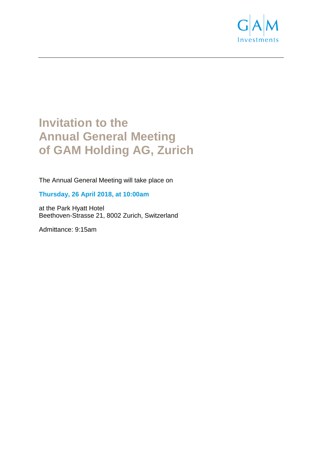

# **Invitation to the Annual General Meeting of GAM Holding AG, Zurich**

The Annual General Meeting will take place on

# **Thursday, 26 April 2018, at 10:00am**

at the Park Hyatt Hotel Beethoven-Strasse 21, 8002 Zurich, Switzerland

Admittance: 9:15am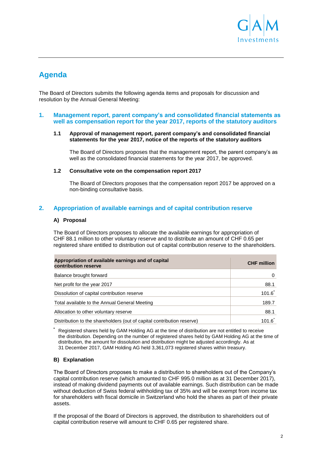

# **Agenda**

The Board of Directors submits the following agenda items and proposals for discussion and resolution by the Annual General Meeting:

#### **1. Management report, parent company's and consolidated financial statements as well as compensation report for the year 2017, reports of the statutory auditors**

#### **1.1 Approval of management report, parent company's and consolidated financial statements for the year 2017, notice of the reports of the statutory auditors**

The Board of Directors proposes that the management report, the parent company's as well as the consolidated financial statements for the year 2017, be approved.

#### **1.2 Consultative vote on the compensation report 2017**

The Board of Directors proposes that the compensation report 2017 be approved on a non-binding consultative basis.

# **2. Appropriation of available earnings and of capital contribution reserve**

#### **A) Proposal**

The Board of Directors proposes to allocate the available earnings for appropriation of CHF 88.1 million to other voluntary reserve and to distribute an amount of CHF 0.65 per registered share entitled to distribution out of capital contribution reserve to the shareholders.

| Appropriation of available earnings and of capital<br>contribution reserve | <b>CHF</b> million |
|----------------------------------------------------------------------------|--------------------|
| Balance brought forward                                                    |                    |
| Net profit for the year 2017                                               | 88.1               |
| Dissolution of capital contribution reserve                                | 101.6              |
| Total available to the Annual General Meeting                              | 189.7              |
| Allocation to other voluntary reserve                                      | 88.1               |
| Distribution to the shareholders (out of capital contribution reserve)     | 101.6              |

**\*** Registered shares held by GAM Holding AG at the time of distribution are not entitled to receive the distribution. Depending on the number of registered shares held by GAM Holding AG at the time of distribution, the amount for dissolution and distribution might be adjusted accordingly. As at 31 December 2017, GAM Holding AG held 3,361,073 registered shares within treasury.

# **B) Explanation**

The Board of Directors proposes to make a distribution to shareholders out of the Company's capital contribution reserve (which amounted to CHF 995.0 million as at 31 December 2017), instead of making dividend payments out of available earnings. Such distribution can be made without deduction of Swiss federal withholding tax of 35% and will be exempt from income tax for shareholders with fiscal domicile in Switzerland who hold the shares as part of their private assets.

If the proposal of the Board of Directors is approved, the distribution to shareholders out of capital contribution reserve will amount to CHF 0.65 per registered share.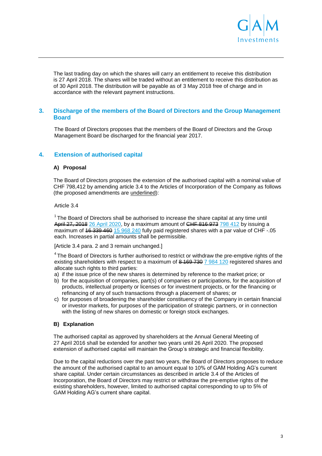

The last trading day on which the shares will carry an entitlement to receive this distribution is 27 April 2018. The shares will be traded without an entitlement to receive this distribution as of 30 April 2018. The distribution will be payable as of 3 May 2018 free of charge and in accordance with the relevant payment instructions.

# **3. Discharge of the members of the Board of Directors and the Group Management Board**

The Board of Directors proposes that the members of the Board of Directors and the Group Management Board be discharged for the financial year 2017.

# **4. Extension of authorised capital**

#### **A) Proposal**

The Board of Directors proposes the extension of the authorised capital with a nominal value of CHF 798,412 by amending article 3.4 to the Articles of Incorporation of the Company as follows (the proposed amendments are underlined):

Article 3.4

 $1$  The Board of Directors shall be authorised to increase the share capital at any time until April 27, 2018 26 April 2020, by a maximum amount of CHF 816 973 798 412 by issuing a maximum of  $\frac{46\cdot339\cdot460}{15\cdot968\cdot240}$  fully paid registered shares with a par value of CHF -.05 each. Increases in partial amounts shall be permissible.

[Article 3.4 para. 2 and 3 remain unchanged.]

 $4$ The Board of Directors is further authorised to restrict or withdraw the pre-emptive rights of the existing shareholders with respect to a maximum of  $8-169-7307984120$  registered shares and allocate such rights to third parties:

- a) if the issue price of the new shares is determined by reference to the market price; or
- b) for the acquisition of companies, part(s) of companies or participations, for the acquisition of products, intellectual property or licenses or for investment projects, or for the financing or refinancing of any of such transactions through a placement of shares; or
- c) for purposes of broadening the shareholder constituency of the Company in certain financial or investor markets, for purposes of the participation of strategic partners, or in connection with the listing of new shares on domestic or foreign stock exchanges.

#### **B) Explanation**

The authorised capital as approved by shareholders at the Annual General Meeting of 27 April 2016 shall be extended for another two years until 26 April 2020. The proposed extension of authorised capital will maintain the Group's strategic and financial flexibility.

Due to the capital reductions over the past two years, the Board of Directors proposes to reduce the amount of the authorised capital to an amount equal to 10% of GAM Holding AG's current share capital. Under certain circumstances as described in article 3.4 of the Articles of Incorporation, the Board of Directors may restrict or withdraw the pre-emptive rights of the existing shareholders, however, limited to authorised capital corresponding to up to 5% of GAM Holding AG's current share capital.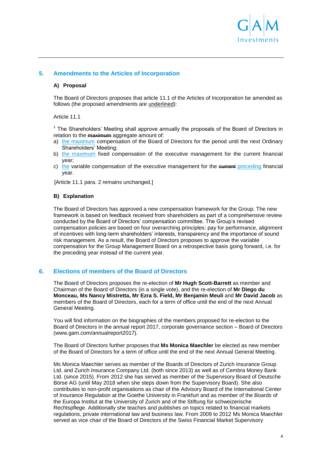

# **5. Amendments to the Articles of Incorporation**

#### **A) Proposal**

The Board of Directors proposes that article 11.1 of the Articles of Incorporation be amended as follows (the proposed amendments are underlined):

#### Article 11.1

<sup>1</sup> The Shareholders' Meeting shall approve annually the proposals of the Board of Directors in relation to the **maximum** aggregate amount of:

- a) the maximum compensation of the Board of Directors for the period until the next Ordinary Shareholders' Meeting;
- b) the maximum fixed compensation of the executive management for the current financial year;
- c) the variable compensation of the executive management for the extrement preceding financial year.

[Article 11.1 para. 2 remains unchanged.]

#### **B) Explanation**

The Board of Directors has approved a new compensation framework for the Group. The new framework is based on feedback received from shareholders as part of a comprehensive review conducted by the Board of Directors' compensation committee. The Group's revised compensation policies are based on four overarching principles: pay for performance, alignment of incentives with long-term shareholders' interests, transparency and the importance of sound risk management. As a result, the Board of Directors proposes to approve the variable compensation for the Group Management Board on a retrospective basis going forward, i.e. for the preceding year instead of the current year.

# **6. Elections of members of the Board of Directors**

The Board of Directors proposes the re-election of **Mr Hugh Scott-Barrett** as member and Chairman of the Board of Directors (in a single vote), and the re-election of **Mr Diego du Monceau, Ms Nancy Mistretta, Mr Ezra S. Field, Mr Benjamin Meuli** and **Mr David Jacob** as members of the Board of Directors, each for a term of office until the end of the next Annual General Meeting.

You will find information on the biographies of the members proposed for re-election to the Board of Directors in the annual report 2017, corporate governance section – Board of Directors (www.gam.com/annualreport2017).

The Board of Directors further proposes that **Ms Monica Maechler** be elected as new member of the Board of Directors for a term of office until the end of the next Annual General Meeting.

Ms Monica Maechler serves as member of the Boards of Directors of Zurich Insurance Group Ltd. and Zurich Insurance Company Ltd. (both since 2013) as well as of Cembra Money Bank Ltd. (since 2015). From 2012 she has served as member of the Supervisory Board of Deutsche Börse AG (until May 2018 when she steps down from the Supervisory Board). She also contributes to non-profit organisations as chair of the Advisory Board of the International Center of Insurance Regulation at the Goethe University in Frankfurt and as member of the Boards of the Europa Institut at the University of Zurich and of the Stiftung für schweizerische Rechtspflege. Additionally she teaches and publishes on topics related to financial markets regulations, private international law and business law. From 2009 to 2012 Ms Monica Maechler served as vice chair of the Board of Directors of the Swiss Financial Market Supervisory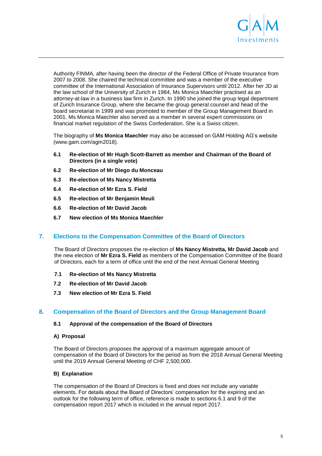

Authority FINMA, after having been the director of the Federal Office of Private Insurance from 2007 to 2008. She chaired the technical committee and was a member of the executive committee of the International Association of Insurance Supervisors until 2012. After her JD at the law school of the University of Zurich in 1984, Ms Monica Maechler practised as an attorney-at-law in a business law firm in Zurich. In 1990 she joined the group legal department of Zurich Insurance Group, where she became the group general counsel and head of the board secretariat in 1999 and was promoted to member of the Group Management Board in 2001. Ms Monica Maechler also served as a member in several expert commissions on financial market regulation of the Swiss Confederation. She is a Swiss citizen.

The biography of **Ms Monica Maechler** may also be accessed on GAM Holding AG's website (www.gam.com/agm2018).

- **6.1 Re-election of Mr Hugh Scott-Barrett as member and Chairman of the Board of Directors (in a single vote)**
- **6.2 Re-election of Mr Diego du Monceau**
- **6.3 Re-election of Ms Nancy Mistretta**
- **6.4 Re-election of Mr Ezra S. Field**
- **6.5 Re-election of Mr Benjamin Meuli**
- **6.6 Re-election of Mr David Jacob**
- **6.7 New election of Ms Monica Maechler**

# **7. Elections to the Compensation Committee of the Board of Directors**

The Board of Directors proposes the re-election of **Ms Nancy Mistretta, Mr David Jacob** and the new election of **Mr Ezra S. Field** as members of the Compensation Committee of the Board of Directors, each for a term of office until the end of the next Annual General Meeting

- **7.1 Re-election of Ms Nancy Mistretta**
- **7.2 Re-election of Mr David Jacob**
- **7.3 New election of Mr Ezra S. Field**

# **8. Compensation of the Board of Directors and the Group Management Board**

#### **8.1 Approval of the compensation of the Board of Directors**

#### **A) Proposal**

The Board of Directors proposes the approval of a maximum aggregate amount of compensation of the Board of Directors for the period as from the 2018 Annual General Meeting until the 2019 Annual General Meeting of CHF 2,500,000.

# **B) Explanation**

The compensation of the Board of Directors is fixed and does not include any variable elements. For details about the Board of Directors' compensation for the expiring and an outlook for the following term of office, reference is made to sections 6.1 and 9 of the compensation report 2017 which is included in the annual report 2017.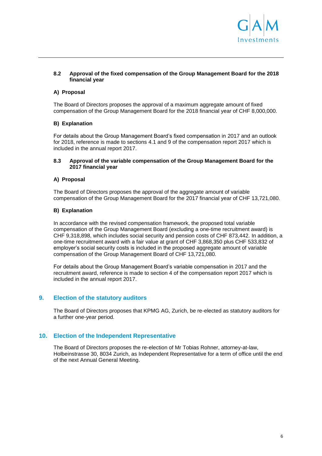

#### **8.2 Approval of the fixed compensation of the Group Management Board for the 2018 financial year**

# **A) Proposal**

The Board of Directors proposes the approval of a maximum aggregate amount of fixed compensation of the Group Management Board for the 2018 financial year of CHF 8,000,000.

# **B) Explanation**

For details about the Group Management Board's fixed compensation in 2017 and an outlook for 2018, reference is made to sections 4.1 and 9 of the compensation report 2017 which is included in the annual report 2017.

#### **8.3 Approval of the variable compensation of the Group Management Board for the 2017 financial year**

#### **A) Proposal**

The Board of Directors proposes the approval of the aggregate amount of variable compensation of the Group Management Board for the 2017 financial year of CHF 13,721,080.

#### **B) Explanation**

In accordance with the revised compensation framework, the proposed total variable compensation of the Group Management Board (excluding a one-time recruitment award) is CHF 9,318,898, which includes social security and pension costs of CHF 873,442. In addition, a one-time recruitment award with a fair value at grant of CHF 3,868,350 plus CHF 533,832 of employer's social security costs is included in the proposed aggregate amount of variable compensation of the Group Management Board of CHF 13,721,080.

For details about the Group Management Board's variable compensation in 2017 and the recruitment award, reference is made to section 4 of the compensation report 2017 which is included in the annual report 2017.

# **9. Election of the statutory auditors**

The Board of Directors proposes that KPMG AG, Zurich, be re-elected as statutory auditors for a further one-year period.

# **10. Election of the Independent Representative**

The Board of Directors proposes the re-election of Mr Tobias Rohner, attorney-at-law, Holbeinstrasse 30, 8034 Zurich, as Independent Representative for a term of office until the end of the next Annual General Meeting.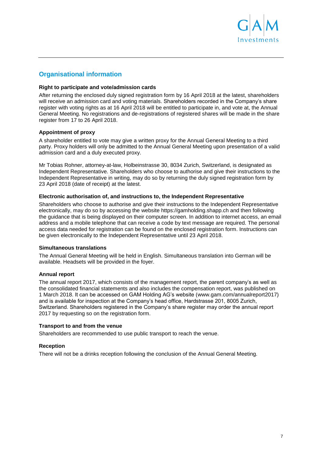

# **Organisational information**

#### **Right to participate and vote/admission cards**

After returning the enclosed duly signed registration form by 16 April 2018 at the latest, shareholders will receive an admission card and voting materials. Shareholders recorded in the Company's share register with voting rights as at 16 April 2018 will be entitled to participate in, and vote at, the Annual General Meeting. No registrations and de-registrations of registered shares will be made in the share register from 17 to 26 April 2018.

#### **Appointment of proxy**

A shareholder entitled to vote may give a written proxy for the Annual General Meeting to a third party. Proxy holders will only be admitted to the Annual General Meeting upon presentation of a valid admission card and a duly executed proxy.

Mr Tobias Rohner, attorney-at-law, Holbeinstrasse 30, 8034 Zurich, Switzerland, is designated as Independent Representative. Shareholders who choose to authorise and give their instructions to the Independent Representative in writing, may do so by returning the duly signed registration form by 23 April 2018 (date of receipt) at the latest.

#### **Electronic authorisation of, and instructions to, the Independent Representative**

Shareholders who choose to authorise and give their instructions to the Independent Representative electronically, may do so by accessing the website https://gamholding.shapp.ch and then following the guidance that is being displayed on their computer screen. In addition to internet access, an email address and a mobile telephone that can receive a code by text message are required. The personal access data needed for registration can be found on the enclosed registration form. Instructions can be given electronically to the Independent Representative until 23 April 2018.

#### **Simultaneous translations**

The Annual General Meeting will be held in English. Simultaneous translation into German will be available. Headsets will be provided in the foyer.

# **Annual report**

The annual report 2017, which consists of the management report, the parent company's as well as the consolidated financial statements and also includes the compensation report, was published on 1 March 2018. It can be accessed on GAM Holding AG's website [\(www.gam.com/annualreport2](http://www.gamholding.com/annualreport2013)017) and is available for inspection at the Company's head office, Hardstrasse 201, 8005 Zurich, Switzerland. Shareholders registered in the Company's share register may order the annual report 2017 by requesting so on the registration form.

#### **Transport to and from the venue**

Shareholders are recommended to use public transport to reach the venue.

# **Reception**

There will not be a drinks reception following the conclusion of the Annual General Meeting.